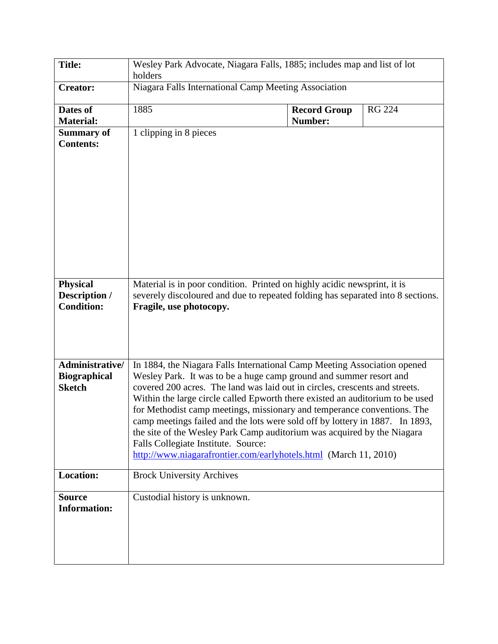| <b>Title:</b>                                           | Wesley Park Advocate, Niagara Falls, 1885; includes map and list of lot<br>holders                                                                                                                                                                                                                                                                                                                                                                                                                                                                                                                                                                              |                                |               |  |  |
|---------------------------------------------------------|-----------------------------------------------------------------------------------------------------------------------------------------------------------------------------------------------------------------------------------------------------------------------------------------------------------------------------------------------------------------------------------------------------------------------------------------------------------------------------------------------------------------------------------------------------------------------------------------------------------------------------------------------------------------|--------------------------------|---------------|--|--|
| <b>Creator:</b>                                         | Niagara Falls International Camp Meeting Association                                                                                                                                                                                                                                                                                                                                                                                                                                                                                                                                                                                                            |                                |               |  |  |
| Dates of<br><b>Material:</b>                            | 1885                                                                                                                                                                                                                                                                                                                                                                                                                                                                                                                                                                                                                                                            | <b>Record Group</b><br>Number: | <b>RG 224</b> |  |  |
| <b>Summary of</b><br><b>Contents:</b>                   | 1 clipping in 8 pieces                                                                                                                                                                                                                                                                                                                                                                                                                                                                                                                                                                                                                                          |                                |               |  |  |
| <b>Physical</b><br>Description /<br><b>Condition:</b>   | Material is in poor condition. Printed on highly acidic newsprint, it is<br>severely discoloured and due to repeated folding has separated into 8 sections.<br>Fragile, use photocopy.                                                                                                                                                                                                                                                                                                                                                                                                                                                                          |                                |               |  |  |
| Administrative/<br><b>Biographical</b><br><b>Sketch</b> | In 1884, the Niagara Falls International Camp Meeting Association opened<br>Wesley Park. It was to be a huge camp ground and summer resort and<br>covered 200 acres. The land was laid out in circles, crescents and streets.<br>Within the large circle called Epworth there existed an auditorium to be used<br>for Methodist camp meetings, missionary and temperance conventions. The<br>camp meetings failed and the lots were sold off by lottery in 1887. In 1893,<br>the site of the Wesley Park Camp auditorium was acquired by the Niagara<br>Falls Collegiate Institute. Source:<br>http://www.niagarafrontier.com/earlyhotels.html (March 11, 2010) |                                |               |  |  |
| <b>Location:</b>                                        | <b>Brock University Archives</b>                                                                                                                                                                                                                                                                                                                                                                                                                                                                                                                                                                                                                                |                                |               |  |  |
| <b>Source</b><br><b>Information:</b>                    | Custodial history is unknown.                                                                                                                                                                                                                                                                                                                                                                                                                                                                                                                                                                                                                                   |                                |               |  |  |